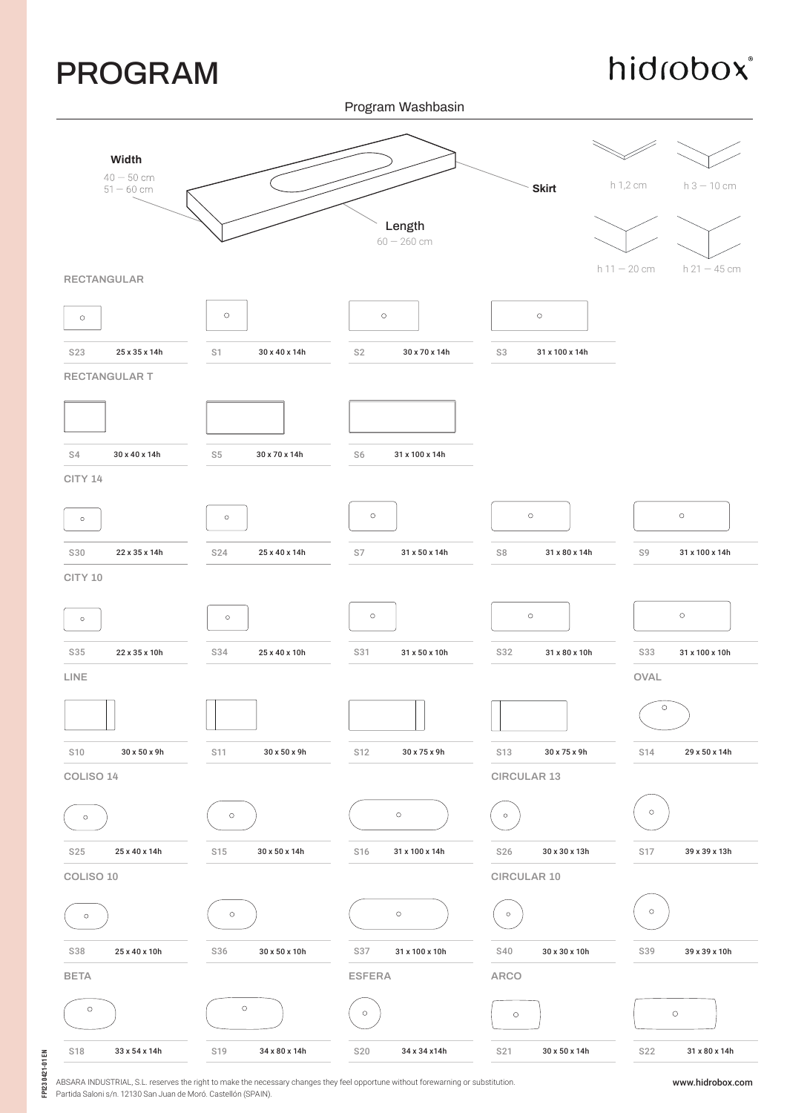## PROGRAM

hidrobox®

Program Washbasin



ABSARA INDUSTRIAL, S.L. reserves the right to make the necessary changes they feel opportune without forewarning or substitution. Partida Saloni s/n. 12130 San Juan de Moró. Castellón (SPAIN).

www.hidrobox.com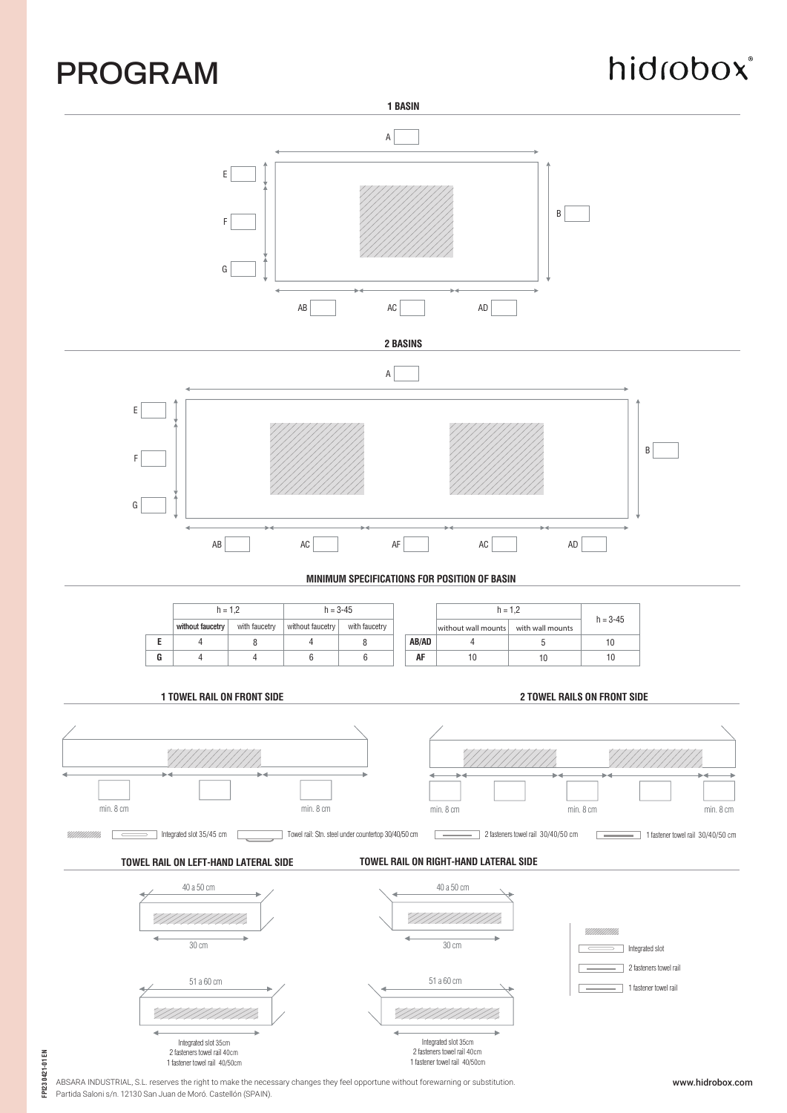## PROGRAM

# hidrobox®



ABSARA INDUSTRIAL, S.L. reserves the right to make the necessary changes they feel opportune without forewarning or substitution. Partida Saloni s/n. 12130 San Juan de Moró. Castellón (SPAIN).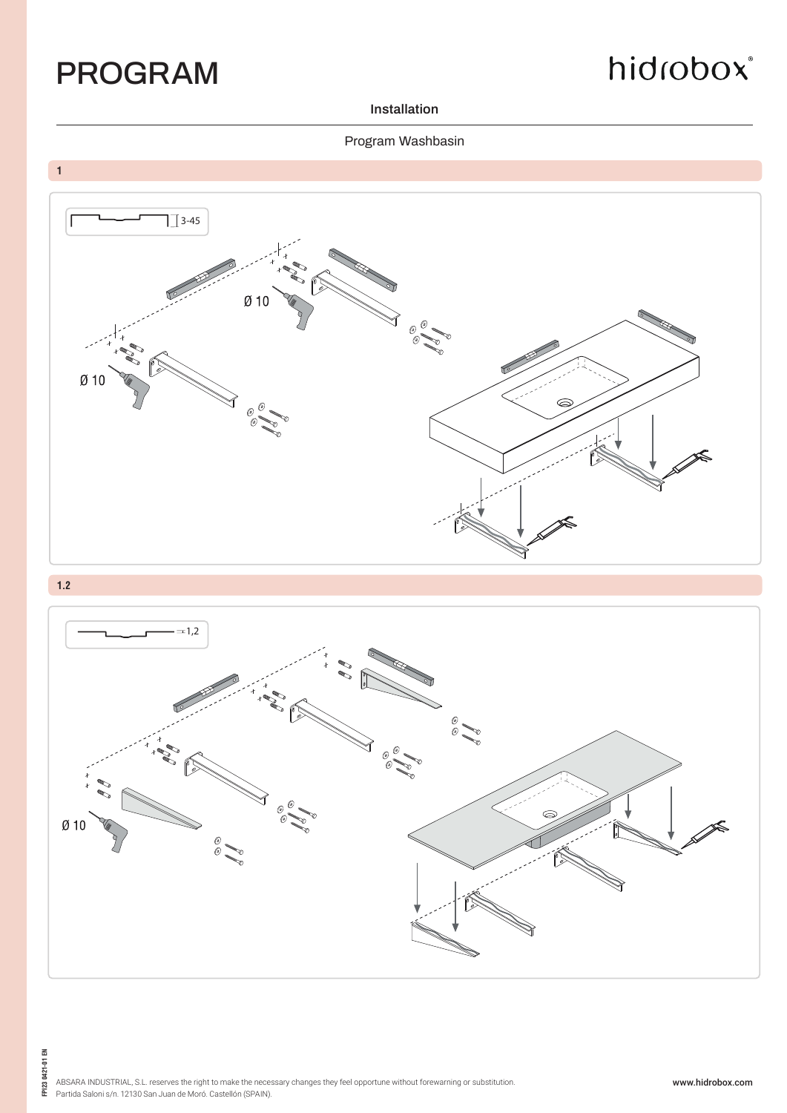

## hidrobox®

**Installation**

#### Program Washbasin





**FPI23 0421-01 EN**

FPI23 0421-01 EN